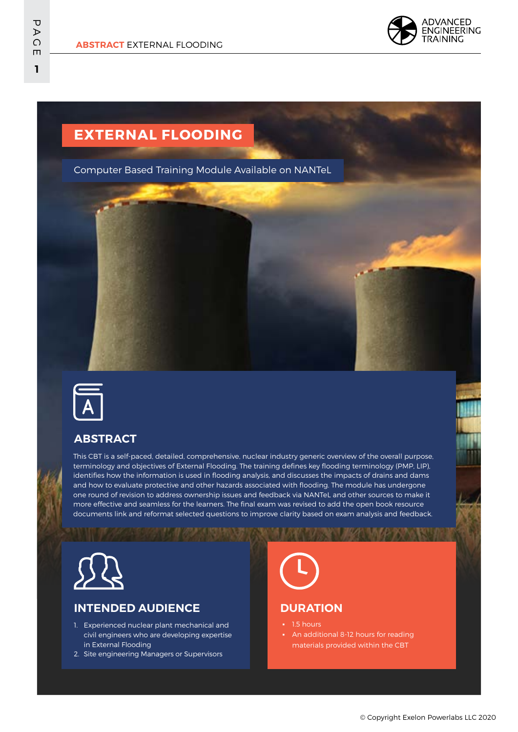

# **EXTERNAL FLOODING**

Computer Based Training Module Available on NANTeL



## **ABSTRACT**

This CBT is a self-paced, detailed, comprehensive, nuclear industry generic overview of the overall purpose, terminology and objectives of External Flooding. The training defines key flooding terminology (PMP, LIP), identifies how the information is used in flooding analysis, and discusses the impacts of drains and dams and how to evaluate protective and other hazards associated with flooding. The module has undergone one round of revision to address ownership issues and feedback via NANTeL and other sources to make it more effective and seamless for the learners. The final exam was revised to add the open book resource documents link and reformat selected questions to improve clarity based on exam analysis and feedback.



## **INTENDED AUDIENCE**

- 1. Experienced nuclear plant mechanical and civil engineers who are developing expertise in External Flooding
- 2. Site engineering Managers or Supervisors



### **DURATION**

- 1.5 hours
- **•** An additional 8-12 hours for reading materials provided within the CBT